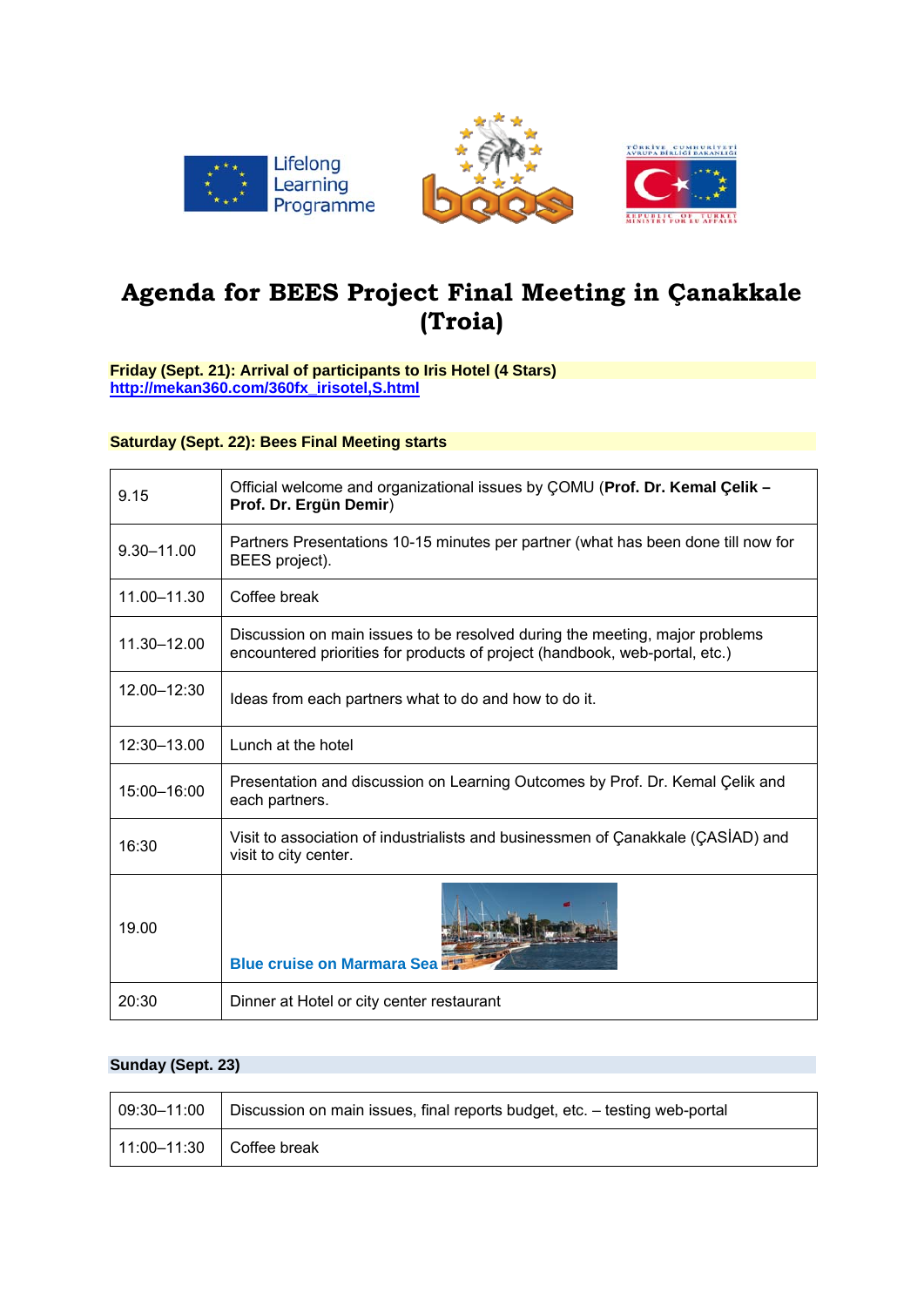





# **Agenda for BEES Project Final Meeting in Çanakkale (Troia)**

#### **Friday (Sept. 21): Arrival of participants to Iris Hotel (4 Stars) http://mekan360.com/360fx\_irisotel,S.html**

#### **Saturday (Sept. 22): Bees Final Meeting starts**

| 9.15        | Official welcome and organizational issues by COMU (Prof. Dr. Kemal Çelik -<br>Prof. Dr. Ergün Demir)                                                      |
|-------------|------------------------------------------------------------------------------------------------------------------------------------------------------------|
| 9.30-11.00  | Partners Presentations 10-15 minutes per partner (what has been done till now for<br>BEES project).                                                        |
| 11.00-11.30 | Coffee break                                                                                                                                               |
| 11.30-12.00 | Discussion on main issues to be resolved during the meeting, major problems<br>encountered priorities for products of project (handbook, web-portal, etc.) |
| 12.00-12:30 | Ideas from each partners what to do and how to do it.                                                                                                      |
| 12:30-13.00 | Lunch at the hotel                                                                                                                                         |
| 15:00-16:00 | Presentation and discussion on Learning Outcomes by Prof. Dr. Kemal Çelik and<br>each partners.                                                            |
| 16:30       | Visit to association of industrialists and businessmen of Canakkale (CASIAD) and<br>visit to city center.                                                  |
| 19.00       | <b>Blue cruise on Marmara Sea!</b>                                                                                                                         |
| 20:30       | Dinner at Hotel or city center restaurant                                                                                                                  |

## **Sunday (Sept. 23)**

| 09:30-11:00                | Discussion on main issues, final reports budget, etc. - testing web-portal |
|----------------------------|----------------------------------------------------------------------------|
| $11:00-11:30$ Coffee break |                                                                            |